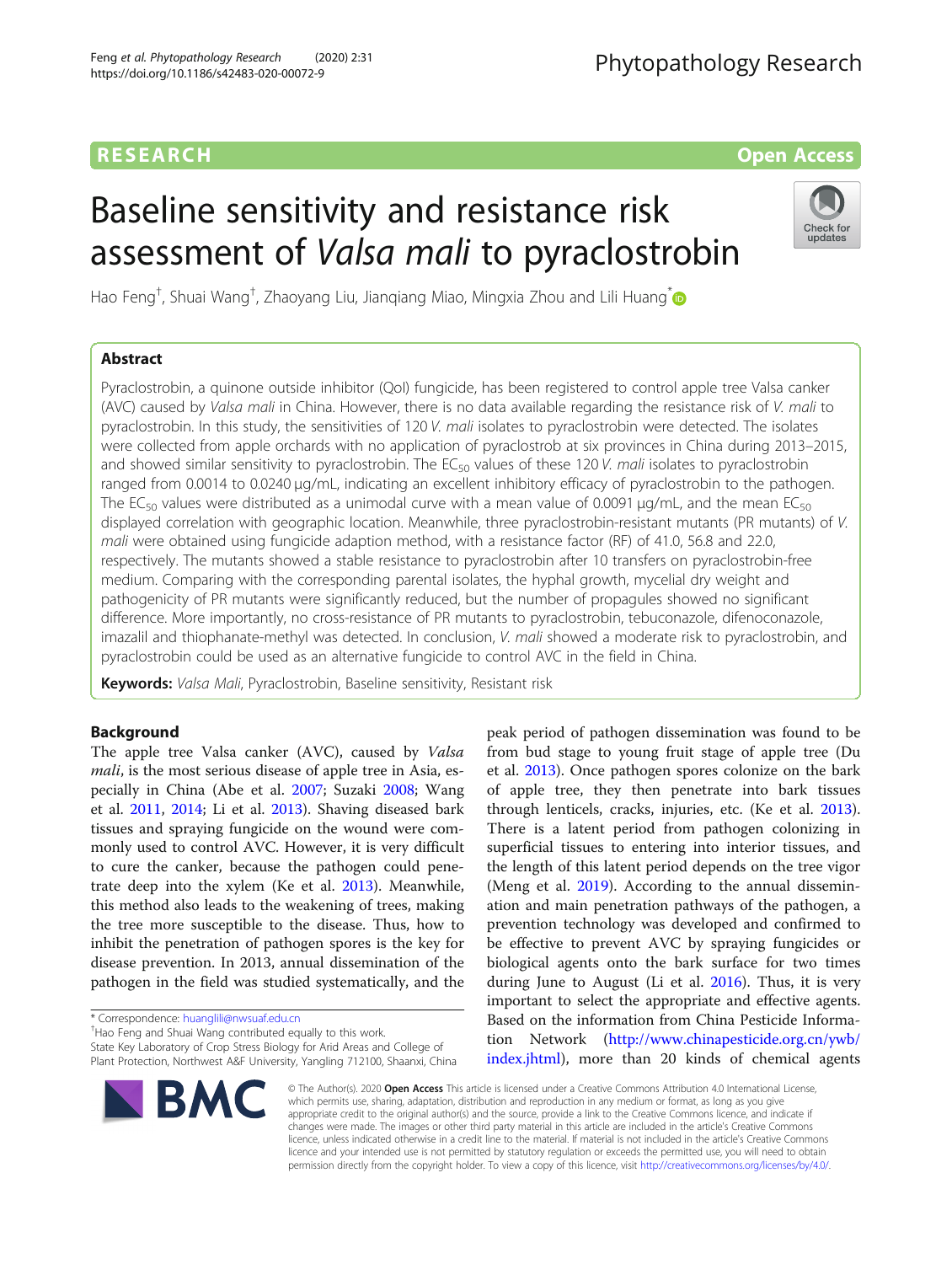# RESEARCH **RESEARCH CONSUMING THE CONSUMING THE CONSUMING TENS**

# Baseline sensitivity and resistance risk assessment of Valsa mali to pyraclostrobin



Hao Feng<sup>†</sup>, Shuai Wang<sup>†</sup>, Zhaoyang Liu, Jianqiang Miao, Mingxia Zhou and Lili Huang<sup>\*</sup>

# Abstract

Pyraclostrobin, a quinone outside inhibitor (QoI) fungicide, has been registered to control apple tree Valsa canker (AVC) caused by Valsa mali in China. However, there is no data available regarding the resistance risk of V. mali to pyraclostrobin. In this study, the sensitivities of 120 V. mali isolates to pyraclostrobin were detected. The isolates were collected from apple orchards with no application of pyraclostrob at six provinces in China during 2013–2015, and showed similar sensitivity to pyraclostrobin. The  $EC_{50}$  values of these 120 V. mali isolates to pyraclostrobin ranged from 0.0014 to 0.0240 μg/mL, indicating an excellent inhibitory efficacy of pyraclostrobin to the pathogen. The EC<sub>50</sub> values were distributed as a unimodal curve with a mean value of 0.0091  $\mu$ g/mL, and the mean EC<sub>50</sub> displayed correlation with geographic location. Meanwhile, three pyraclostrobin-resistant mutants (PR mutants) of V. mali were obtained using fungicide adaption method, with a resistance factor (RF) of 41.0, 56.8 and 22.0, respectively. The mutants showed a stable resistance to pyraclostrobin after 10 transfers on pyraclostrobin-free medium. Comparing with the corresponding parental isolates, the hyphal growth, mycelial dry weight and pathogenicity of PR mutants were significantly reduced, but the number of propagules showed no significant difference. More importantly, no cross-resistance of PR mutants to pyraclostrobin, tebuconazole, difenoconazole, imazalil and thiophanate-methyl was detected. In conclusion, V. mali showed a moderate risk to pyraclostrobin, and pyraclostrobin could be used as an alternative fungicide to control AVC in the field in China.

Keywords: Valsa Mali, Pyraclostrobin, Baseline sensitivity, Resistant risk

# Background

The apple tree Valsa canker (AVC), caused by Valsa mali, is the most serious disease of apple tree in Asia, especially in China (Abe et al. [2007](#page-6-0); Suzaki [2008](#page-7-0); Wang et al. [2011](#page-7-0), [2014;](#page-7-0) Li et al. [2013](#page-7-0)). Shaving diseased bark tissues and spraying fungicide on the wound were commonly used to control AVC. However, it is very difficult to cure the canker, because the pathogen could penetrate deep into the xylem (Ke et al. [2013\)](#page-7-0). Meanwhile, this method also leads to the weakening of trees, making the tree more susceptible to the disease. Thus, how to inhibit the penetration of pathogen spores is the key for disease prevention. In 2013, annual dissemination of the pathogen in the field was studied systematically, and the

<sup>+</sup>Hao Feng and Shuai Wang contributed equally to this work.

State Key Laboratory of Crop Stress Biology for Arid Areas and College of Plant Protection, Northwest A&F University, Yangling 712100, Shaanxi, China peak period of pathogen dissemination was found to be from bud stage to young fruit stage of apple tree (Du et al. [2013\)](#page-7-0). Once pathogen spores colonize on the bark of apple tree, they then penetrate into bark tissues through lenticels, cracks, injuries, etc. (Ke et al. [2013](#page-7-0)). There is a latent period from pathogen colonizing in superficial tissues to entering into interior tissues, and the length of this latent period depends on the tree vigor (Meng et al. [2019\)](#page-7-0). According to the annual dissemination and main penetration pathways of the pathogen, a prevention technology was developed and confirmed to be effective to prevent AVC by spraying fungicides or biological agents onto the bark surface for two times during June to August (Li et al. [2016](#page-7-0)). Thus, it is very important to select the appropriate and effective agents. Based on the information from China Pesticide Information Network ([http://www.chinapesticide.org.cn/ywb/](http://www.chinapesticide.org.cn/ywb/index.jhtml) [index.jhtml\)](http://www.chinapesticide.org.cn/ywb/index.jhtml), more than 20 kinds of chemical agents



© The Author(s). 2020 Open Access This article is licensed under a Creative Commons Attribution 4.0 International License, which permits use, sharing, adaptation, distribution and reproduction in any medium or format, as long as you give appropriate credit to the original author(s) and the source, provide a link to the Creative Commons licence, and indicate if changes were made. The images or other third party material in this article are included in the article's Creative Commons licence, unless indicated otherwise in a credit line to the material. If material is not included in the article's Creative Commons licence and your intended use is not permitted by statutory regulation or exceeds the permitted use, you will need to obtain permission directly from the copyright holder. To view a copy of this licence, visit [http://creativecommons.org/licenses/by/4.0/.](http://creativecommons.org/licenses/by/4.0/)

<sup>\*</sup> Correspondence: [huanglili@nwsuaf.edu.cn](mailto:huanglili@nwsuaf.edu.cn) †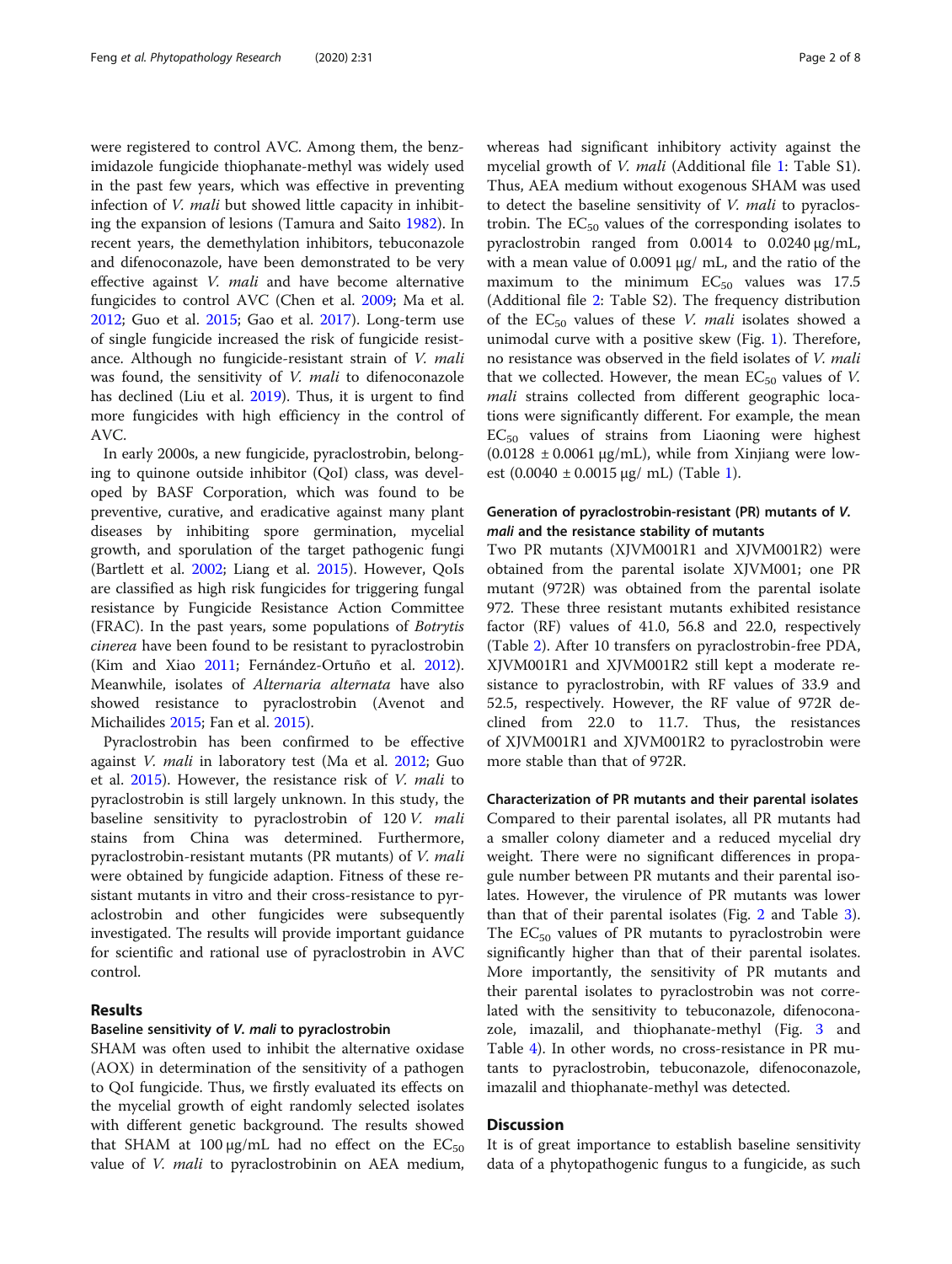were registered to control AVC. Among them, the benzimidazole fungicide thiophanate-methyl was widely used in the past few years, which was effective in preventing infection of *V. mali* but showed little capacity in inhibiting the expansion of lesions (Tamura and Saito [1982\)](#page-7-0). In recent years, the demethylation inhibitors, tebuconazole and difenoconazole, have been demonstrated to be very effective against V. mali and have become alternative fungicides to control AVC (Chen et al. [2009;](#page-6-0) Ma et al. [2012](#page-7-0); Guo et al. [2015;](#page-7-0) Gao et al. [2017\)](#page-7-0). Long-term use of single fungicide increased the risk of fungicide resistance. Although no fungicide-resistant strain of V. mali was found, the sensitivity of *V. mali* to difenoconazole has declined (Liu et al. [2019](#page-7-0)). Thus, it is urgent to find more fungicides with high efficiency in the control of AVC.

In early 2000s, a new fungicide, pyraclostrobin, belonging to quinone outside inhibitor (QoI) class, was developed by BASF Corporation, which was found to be preventive, curative, and eradicative against many plant diseases by inhibiting spore germination, mycelial growth, and sporulation of the target pathogenic fungi (Bartlett et al. [2002;](#page-6-0) Liang et al. [2015](#page-7-0)). However, QoIs are classified as high risk fungicides for triggering fungal resistance by Fungicide Resistance Action Committee (FRAC). In the past years, some populations of Botrytis cinerea have been found to be resistant to pyraclostrobin (Kim and Xiao [2011;](#page-7-0) Fernández-Ortuño et al. [2012](#page-7-0)). Meanwhile, isolates of Alternaria alternata have also showed resistance to pyraclostrobin (Avenot and Michailides [2015](#page-6-0); Fan et al. [2015](#page-7-0)).

Pyraclostrobin has been confirmed to be effective against V. mali in laboratory test (Ma et al. [2012;](#page-7-0) Guo et al. [2015](#page-7-0)). However, the resistance risk of V. mali to pyraclostrobin is still largely unknown. In this study, the baseline sensitivity to pyraclostrobin of 120 V. mali stains from China was determined. Furthermore, pyraclostrobin-resistant mutants (PR mutants) of V. mali were obtained by fungicide adaption. Fitness of these resistant mutants in vitro and their cross-resistance to pyraclostrobin and other fungicides were subsequently investigated. The results will provide important guidance for scientific and rational use of pyraclostrobin in AVC control.

#### Results

#### Baseline sensitivity of V. mali to pyraclostrobin

SHAM was often used to inhibit the alternative oxidase (AOX) in determination of the sensitivity of a pathogen to QoI fungicide. Thus, we firstly evaluated its effects on the mycelial growth of eight randomly selected isolates with different genetic background. The results showed that SHAM at 100  $\mu$ g/mL had no effect on the EC<sub>50</sub> value of *V. mali* to pyraclostrobinin on AEA medium, whereas had significant inhibitory activity against the mycelial growth of V. mali (Additional file [1](#page-6-0): Table S1). Thus, AEA medium without exogenous SHAM was used to detect the baseline sensitivity of *V. mali* to pyraclostrobin. The  $EC_{50}$  values of the corresponding isolates to pyraclostrobin ranged from 0.0014 to 0.0240 μg/mL, with a mean value of 0.0091 μg/ mL, and the ratio of the maximum to the minimum  $EC_{50}$  values was 17.5 (Additional file [2:](#page-6-0) Table S2). The frequency distribution of the  $EC_{50}$  values of these *V. mali* isolates showed a unimodal curve with a positive skew (Fig. [1](#page-2-0)). Therefore, no resistance was observed in the field isolates of V. mali that we collected. However, the mean  $EC_{50}$  values of V. mali strains collected from different geographic locations were significantly different. For example, the mean  $EC_{50}$  values of strains from Liaoning were highest  $(0.0128 \pm 0.0061 \,\mu\text{g/mL})$ , while from Xinjiang were lowest  $(0.0040 \pm 0.0015 \,\mu g/\,\text{mL})$  $(0.0040 \pm 0.0015 \,\mu g/\,\text{mL})$  $(0.0040 \pm 0.0015 \,\mu g/\,\text{mL})$  (Table 1).

### Generation of pyraclostrobin-resistant (PR) mutants of V. mali and the resistance stability of mutants

Two PR mutants (XJVM001R1 and XJVM001R2) were obtained from the parental isolate XJVM001; one PR mutant (972R) was obtained from the parental isolate 972. These three resistant mutants exhibited resistance factor (RF) values of 41.0, 56.8 and 22.0, respectively (Table [2\)](#page-3-0). After 10 transfers on pyraclostrobin-free PDA, XJVM001R1 and XJVM001R2 still kept a moderate resistance to pyraclostrobin, with RF values of 33.9 and 52.5, respectively. However, the RF value of 972R declined from 22.0 to 11.7. Thus, the resistances of XJVM001R1 and XJVM001R2 to pyraclostrobin were more stable than that of 972R.

Characterization of PR mutants and their parental isolates Compared to their parental isolates, all PR mutants had a smaller colony diameter and a reduced mycelial dry weight. There were no significant differences in propagule number between PR mutants and their parental isolates. However, the virulence of PR mutants was lower than that of their parental isolates (Fig. [2](#page-3-0) and Table [3](#page-4-0)). The  $EC_{50}$  values of PR mutants to pyraclostrobin were significantly higher than that of their parental isolates. More importantly, the sensitivity of PR mutants and their parental isolates to pyraclostrobin was not correlated with the sensitivity to tebuconazole, difenoconazole, imazalil, and thiophanate-methyl (Fig. [3](#page-4-0) and Table [4](#page-5-0)). In other words, no cross-resistance in PR mutants to pyraclostrobin, tebuconazole, difenoconazole, imazalil and thiophanate-methyl was detected.

#### **Discussion**

It is of great importance to establish baseline sensitivity data of a phytopathogenic fungus to a fungicide, as such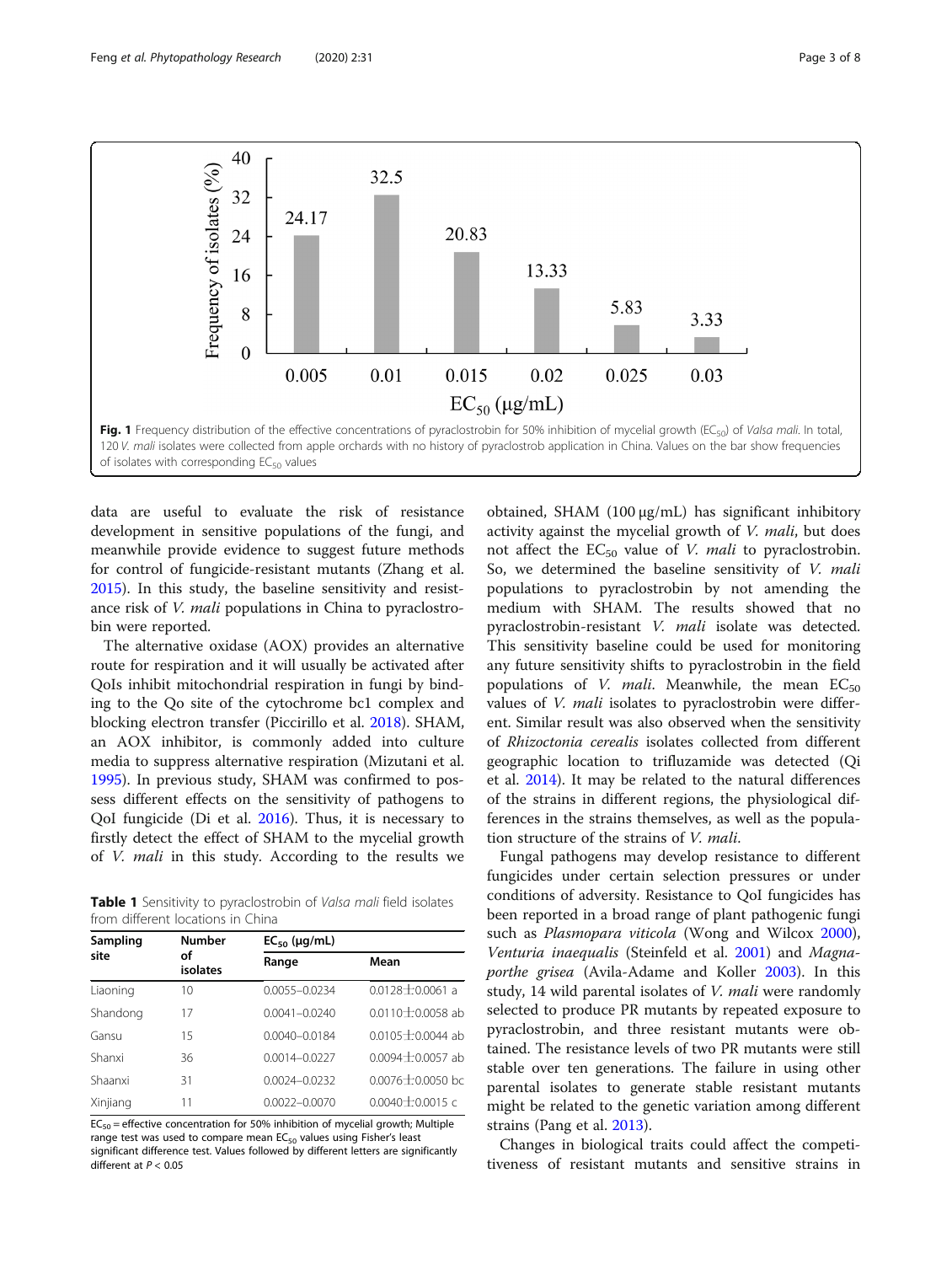<span id="page-2-0"></span>

data are useful to evaluate the risk of resistance development in sensitive populations of the fungi, and meanwhile provide evidence to suggest future methods for control of fungicide-resistant mutants (Zhang et al. [2015](#page-7-0)). In this study, the baseline sensitivity and resistance risk of V. mali populations in China to pyraclostrobin were reported.

The alternative oxidase (AOX) provides an alternative route for respiration and it will usually be activated after QoIs inhibit mitochondrial respiration in fungi by binding to the Qo site of the cytochrome bc1 complex and blocking electron transfer (Piccirillo et al. [2018](#page-7-0)). SHAM, an AOX inhibitor, is commonly added into culture media to suppress alternative respiration (Mizutani et al. [1995](#page-7-0)). In previous study, SHAM was confirmed to possess different effects on the sensitivity of pathogens to QoI fungicide (Di et al. [2016](#page-6-0)). Thus, it is necessary to firstly detect the effect of SHAM to the mycelial growth of V. mali in this study. According to the results we

Table 1 Sensitivity to pyraclostrobin of Valsa mali field isolates from different locations in China

| Sampling | <b>Number</b>  | $EC_{50}$ (µg/mL) |                      |  |  |
|----------|----------------|-------------------|----------------------|--|--|
| site     | οf<br>isolates | Range             | Mean                 |  |  |
| Liaoning | 10             | $0.0055 - 0.0234$ | $0.0128 + 0.0061$ a  |  |  |
| Shandong | 17             | $0.0041 - 0.0240$ | $0.0110 + 0.0058$ ab |  |  |
| Gansu    | 15             | $0.0040 - 0.0184$ | $0.0105 + 0.0044$ ab |  |  |
| Shanxi   | 36             | $0.0014 - 0.0227$ | $0.0094 + 0.0057$ ab |  |  |
| Shaanxi  | 31             | $0.0024 - 0.0232$ | $0.0076 + 0.0050$ bc |  |  |
| Xinjiang | 11             | $0.0022 - 0.0070$ | $0.0040 + 0.0015$ c  |  |  |

 $EC_{50}$  = effective concentration for 50% inhibition of mycelial growth; Multiple range test was used to compare mean  $EC_{50}$  values using Fisher's least significant difference test. Values followed by different letters are significantly different at  $P < 0.05$ 

obtained, SHAM (100 μg/mL) has significant inhibitory activity against the mycelial growth of V. mali, but does not affect the  $EC_{50}$  value of *V. mali* to pyraclostrobin. So, we determined the baseline sensitivity of V. mali populations to pyraclostrobin by not amending the medium with SHAM. The results showed that no pyraclostrobin-resistant V. mali isolate was detected. This sensitivity baseline could be used for monitoring any future sensitivity shifts to pyraclostrobin in the field populations of *V. mali*. Meanwhile, the mean  $EC_{50}$ values of *V. mali* isolates to pyraclostrobin were different. Similar result was also observed when the sensitivity of Rhizoctonia cerealis isolates collected from different geographic location to trifluzamide was detected (Qi et al. [2014](#page-7-0)). It may be related to the natural differences of the strains in different regions, the physiological differences in the strains themselves, as well as the population structure of the strains of V. mali.

Fungal pathogens may develop resistance to different fungicides under certain selection pressures or under conditions of adversity. Resistance to QoI fungicides has been reported in a broad range of plant pathogenic fungi such as Plasmopara viticola (Wong and Wilcox [2000](#page-7-0)), Venturia inaequalis (Steinfeld et al. [2001\)](#page-7-0) and Magnaporthe grisea (Avila-Adame and Koller [2003](#page-6-0)). In this study, 14 wild parental isolates of V. mali were randomly selected to produce PR mutants by repeated exposure to pyraclostrobin, and three resistant mutants were obtained. The resistance levels of two PR mutants were still stable over ten generations. The failure in using other parental isolates to generate stable resistant mutants might be related to the genetic variation among different strains (Pang et al. [2013\)](#page-7-0).

Changes in biological traits could affect the competitiveness of resistant mutants and sensitive strains in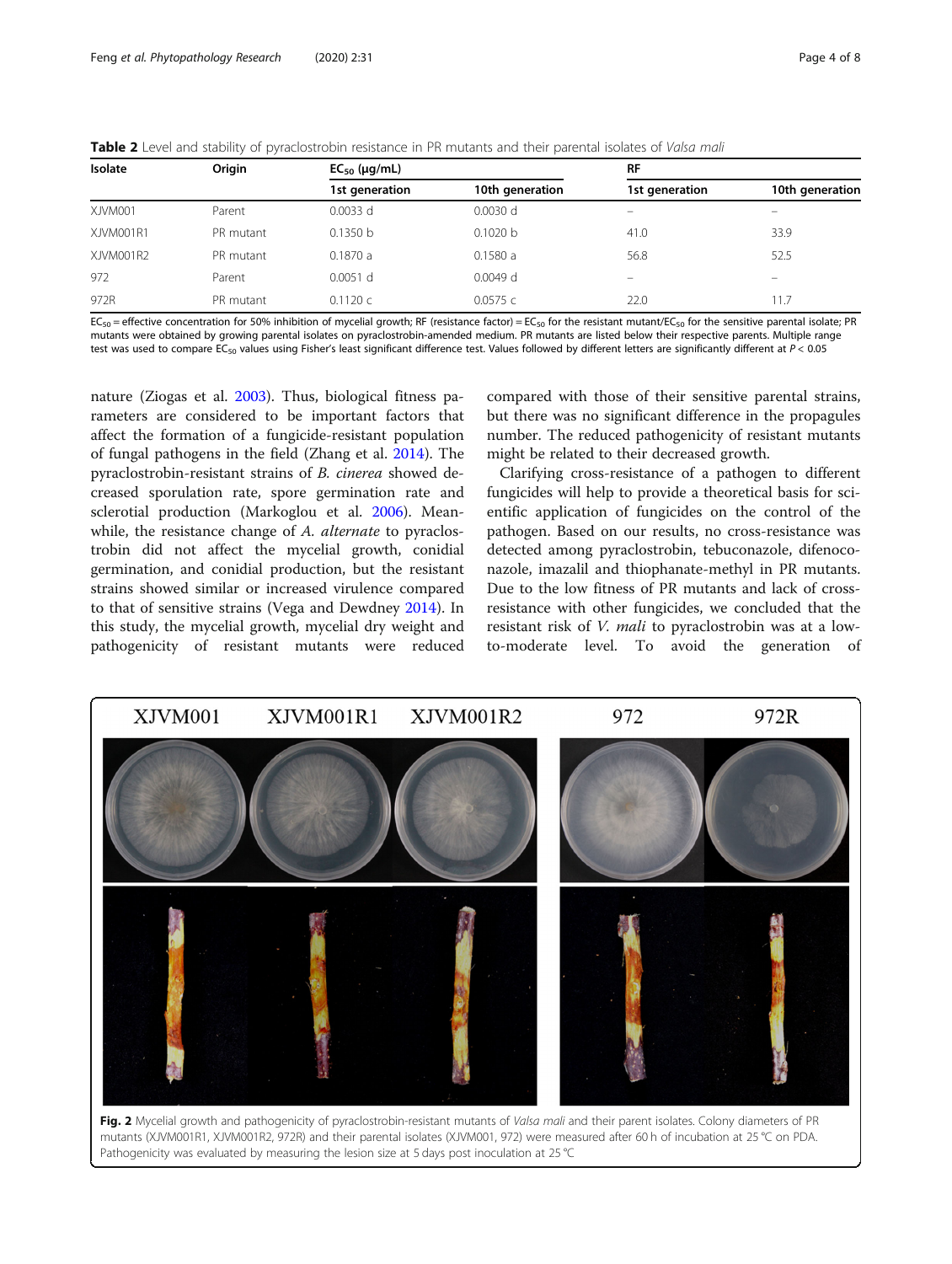<span id="page-3-0"></span>

|  |  |  |  |  |  |  | Table 2 Level and stability of pyraclostrobin resistance in PR mutants and their parental isolates of Valsa mali |
|--|--|--|--|--|--|--|------------------------------------------------------------------------------------------------------------------|
|--|--|--|--|--|--|--|------------------------------------------------------------------------------------------------------------------|

| Isolate   | Origin    | $EC_{50}$ (µg/mL) |                 |                          | <b>RF</b>                |  |
|-----------|-----------|-------------------|-----------------|--------------------------|--------------------------|--|
|           |           | 1st generation    | 10th generation | 1st generation           | 10th generation          |  |
| XJVM001   | Parent    | $0.0033$ d        | $0.0030$ d      | $\overline{\phantom{0}}$ | $\overline{\phantom{a}}$ |  |
| XJVM001R1 | PR mutant | 0.1350 b          | 0.1020 b        | 41.0                     | 33.9                     |  |
| XJVM001R2 | PR mutant | 0.1870a           | 0.1580a         | 56.8                     | 52.5                     |  |
| 972       | Parent    | $0.0051$ d        | $0.0049$ d      | $\overline{\phantom{0}}$ | -                        |  |
| 972R      | PR mutant | 0.1120c           | 0.0575c         | 22.0                     | 11.7                     |  |

EC<sub>50</sub> = effective concentration for 50% inhibition of mycelial growth; RF (resistance factor) = EC<sub>50</sub> for the resistant mutant/EC<sub>50</sub> for the sensitive parental isolate; PR mutants were obtained by growing parental isolates on pyraclostrobin-amended medium. PR mutants are listed below their respective parents. Multiple range test was used to compare EC<sub>50</sub> values using Fisher's least significant difference test. Values followed by different letters are significantly different at  $P < 0.05$ 

nature (Ziogas et al. [2003\)](#page-7-0). Thus, biological fitness parameters are considered to be important factors that affect the formation of a fungicide-resistant population of fungal pathogens in the field (Zhang et al. [2014\)](#page-7-0). The pyraclostrobin-resistant strains of B. cinerea showed decreased sporulation rate, spore germination rate and sclerotial production (Markoglou et al. [2006](#page-7-0)). Meanwhile, the resistance change of A. alternate to pyraclostrobin did not affect the mycelial growth, conidial germination, and conidial production, but the resistant strains showed similar or increased virulence compared to that of sensitive strains (Vega and Dewdney [2014](#page-7-0)). In this study, the mycelial growth, mycelial dry weight and pathogenicity of resistant mutants were reduced compared with those of their sensitive parental strains, but there was no significant difference in the propagules number. The reduced pathogenicity of resistant mutants might be related to their decreased growth.

Clarifying cross-resistance of a pathogen to different fungicides will help to provide a theoretical basis for scientific application of fungicides on the control of the pathogen. Based on our results, no cross-resistance was detected among pyraclostrobin, tebuconazole, difenoconazole, imazalil and thiophanate-methyl in PR mutants. Due to the low fitness of PR mutants and lack of crossresistance with other fungicides, we concluded that the resistant risk of V. mali to pyraclostrobin was at a lowto-moderate level. To avoid the generation of



mutants (XJVM001R1, XJVM001R2, 972R) and their parental isolates (XJVM001, 972) were measured after 60 h of incubation at 25 °C on PDA. Pathogenicity was evaluated by measuring the lesion size at 5 days post inoculation at 25 °C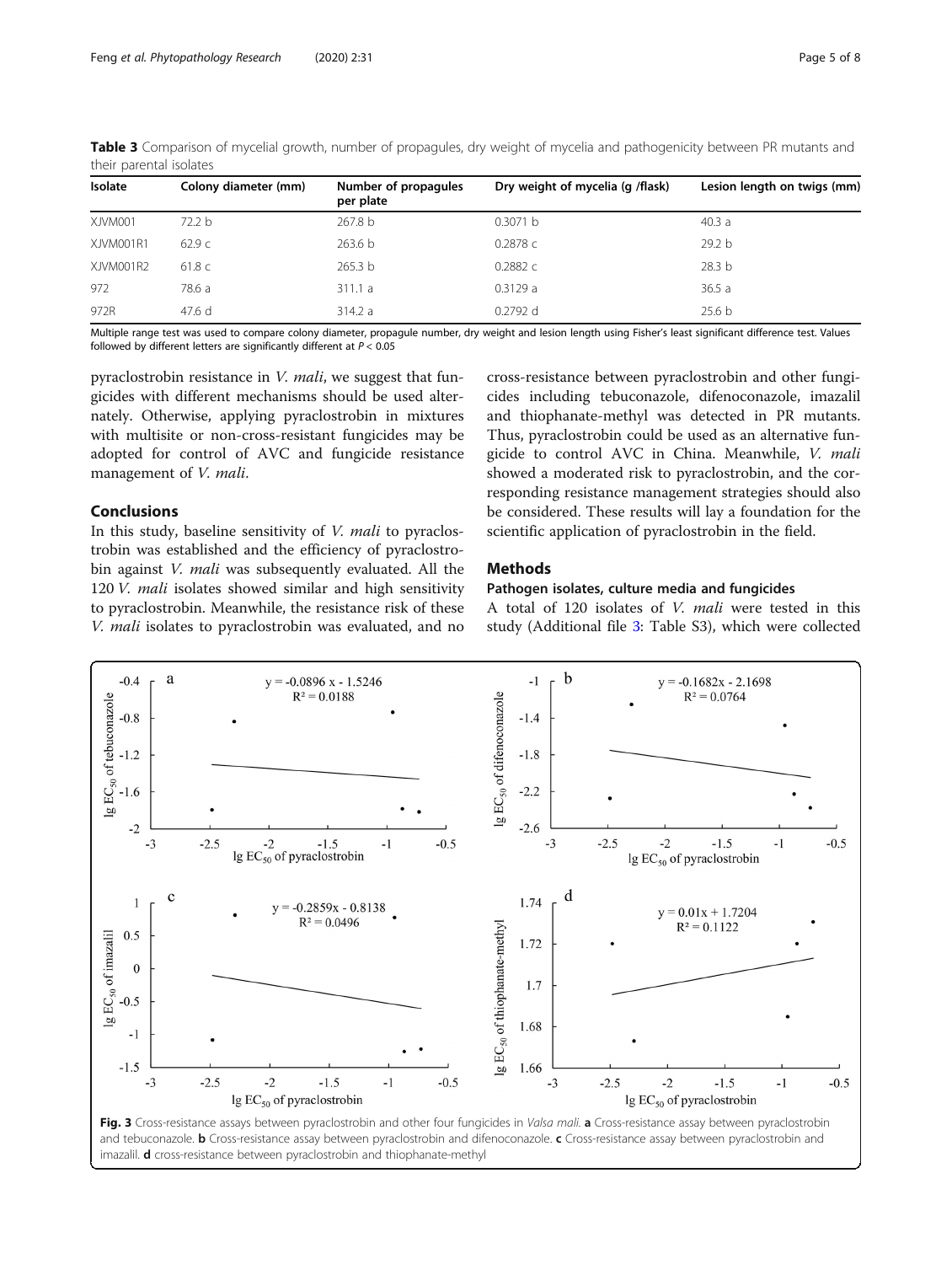| Isolate   | Colony diameter (mm) | Number of propagules<br>per plate | Dry weight of mycelia (g /flask) | Lesion length on twigs (mm) |
|-----------|----------------------|-----------------------------------|----------------------------------|-----------------------------|
| XJVM001   | 72.2 b               | 267.8 b                           | 0.3071 b                         | 40.3a                       |
| XJVM001R1 | 62.9c                | 263.6 b                           | 0.2878c                          | 29.2 b                      |
| XJVM001R2 | 61.8c                | 265.3 b                           | 0.2882c                          | 28.3 <sub>b</sub>           |
| 972       | 78.6 a               | 311.1a                            | 0.3129a                          | 36.5a                       |
| 972R      | 47.6 d               | 314.2 a                           | $0.2792$ d                       | 25.6 <sub>b</sub>           |

<span id="page-4-0"></span>Table 3 Comparison of mycelial growth, number of propagules, dry weight of mycelia and pathogenicity between PR mutants and their parental isolates

Multiple range test was used to compare colony diameter, propagule number, dry weight and lesion length using Fisher's least significant difference test. Values followed by different letters are significantly different at  $P < 0.05$ 

pyraclostrobin resistance in V. mali, we suggest that fungicides with different mechanisms should be used alternately. Otherwise, applying pyraclostrobin in mixtures with multisite or non-cross-resistant fungicides may be adopted for control of AVC and fungicide resistance management of V. mali.

#### Conclusions

In this study, baseline sensitivity of V. mali to pyraclostrobin was established and the efficiency of pyraclostrobin against *V. mali* was subsequently evaluated. All the 120 V. mali isolates showed similar and high sensitivity to pyraclostrobin. Meanwhile, the resistance risk of these V. mali isolates to pyraclostrobin was evaluated, and no

cross-resistance between pyraclostrobin and other fungicides including tebuconazole, difenoconazole, imazalil and thiophanate-methyl was detected in PR mutants. Thus, pyraclostrobin could be used as an alternative fungicide to control AVC in China. Meanwhile, V. mali showed a moderated risk to pyraclostrobin, and the corresponding resistance management strategies should also be considered. These results will lay a foundation for the scientific application of pyraclostrobin in the field.

#### Methods

#### Pathogen isolates, culture media and fungicides

A total of 120 isolates of V. mali were tested in this study (Additional file [3:](#page-6-0) Table S3), which were collected



and tebuconazole. **b** Cross-resistance assay between pyraclostrobin and difenoconazole. c Cross-resistance assay between pyraclostrobin and imazalil. **d** cross-resistance between pyraclostrobin and thiophanate-methyl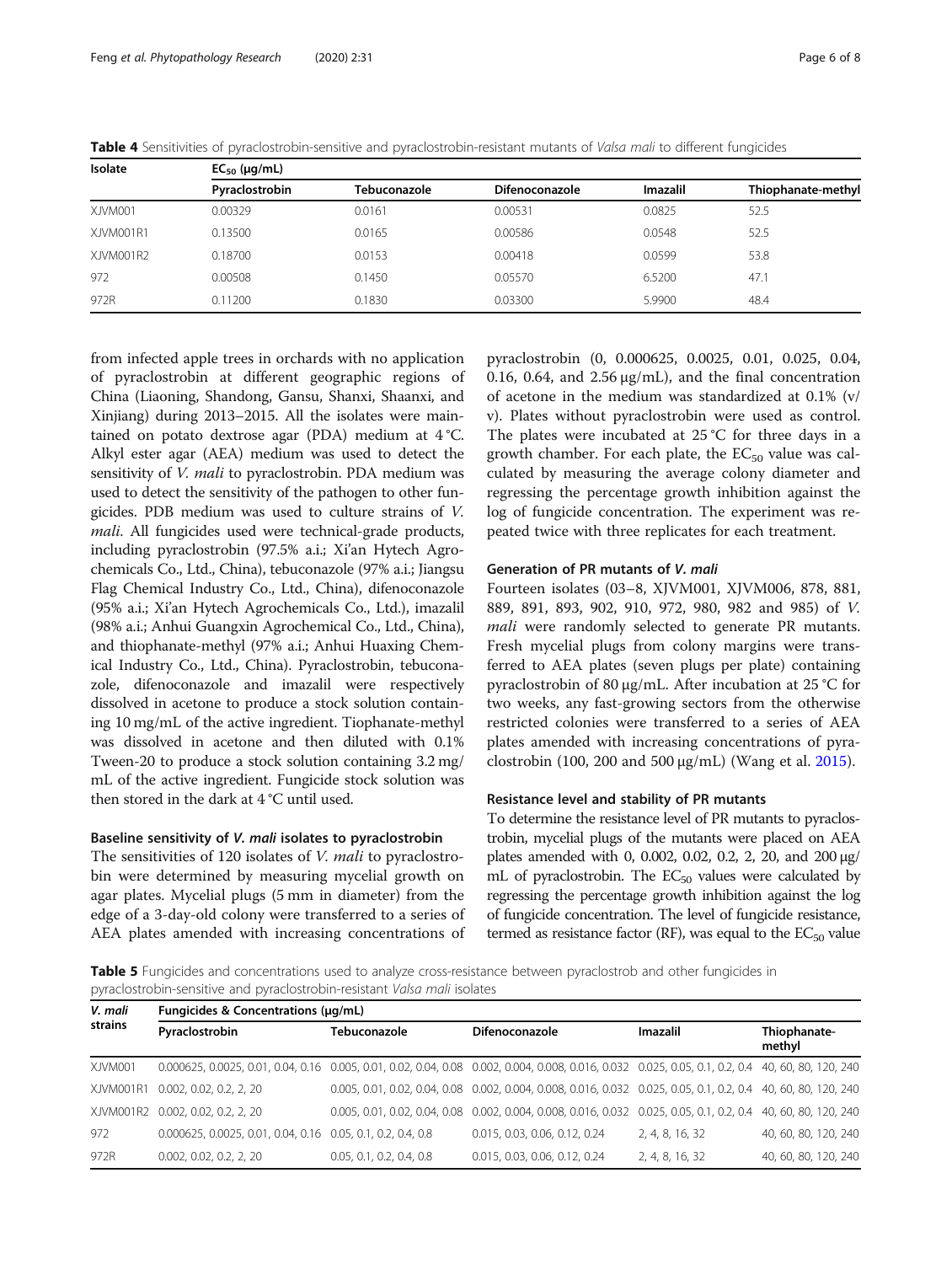| Isolate   | $EC_{50}$ (µg/mL) |              |                       |                 |                    |  |  |
|-----------|-------------------|--------------|-----------------------|-----------------|--------------------|--|--|
|           | Pyraclostrobin    | Tebuconazole | <b>Difenoconazole</b> | <b>Imazalil</b> | Thiophanate-methyl |  |  |
| XJVM001   | 0.00329           | 0.0161       | 0.00531               | 0.0825          | 52.5               |  |  |
| XJVM001R1 | 0.13500           | 0.0165       | 0.00586               | 0.0548          | 52.5               |  |  |
| XJVM001R2 | 0.18700           | 0.0153       | 0.00418               | 0.0599          | 53.8               |  |  |
| 972       | 0.00508           | 0.1450       | 0.05570               | 6.5200          | 47.1               |  |  |
| 972R      | 0.11200           | 0.1830       | 0.03300               | 5.9900          | 48.4               |  |  |

<span id="page-5-0"></span>Table 4 Sensitivities of pyraclostrobin-sensitive and pyraclostrobin-resistant mutants of Valsa mali to different fungicides

from infected apple trees in orchards with no application of pyraclostrobin at different geographic regions of China (Liaoning, Shandong, Gansu, Shanxi, Shaanxi, and Xinjiang) during 2013–2015. All the isolates were maintained on potato dextrose agar (PDA) medium at 4 °C. Alkyl ester agar (AEA) medium was used to detect the sensitivity of *V. mali* to pyraclostrobin. PDA medium was used to detect the sensitivity of the pathogen to other fungicides. PDB medium was used to culture strains of V. mali. All fungicides used were technical-grade products, including pyraclostrobin (97.5% a.i.; Xi'an Hytech Agrochemicals Co., Ltd., China), tebuconazole (97% a.i.; Jiangsu Flag Chemical Industry Co., Ltd., China), difenoconazole (95% a.i.; Xi'an Hytech Agrochemicals Co., Ltd.), imazalil (98% a.i.; Anhui Guangxin Agrochemical Co., Ltd., China), and thiophanate-methyl (97% a.i.; Anhui Huaxing Chemical Industry Co., Ltd., China). Pyraclostrobin, tebuconazole, difenoconazole and imazalil were respectively dissolved in acetone to produce a stock solution containing 10 mg/mL of the active ingredient. Tiophanate-methyl was dissolved in acetone and then diluted with 0.1% Tween-20 to produce a stock solution containing 3.2 mg/ mL of the active ingredient. Fungicide stock solution was then stored in the dark at 4 °C until used.

#### Baseline sensitivity of V. mali isolates to pyraclostrobin

The sensitivities of 120 isolates of V. mali to pyraclostrobin were determined by measuring mycelial growth on agar plates. Mycelial plugs (5 mm in diameter) from the edge of a 3-day-old colony were transferred to a series of AEA plates amended with increasing concentrations of

pyraclostrobin (0, 0.000625, 0.0025, 0.01, 0.025, 0.04, 0.16, 0.64, and 2.56  $\mu$ g/mL), and the final concentration of acetone in the medium was standardized at 0.1% (v/ v). Plates without pyraclostrobin were used as control. The plates were incubated at  $25^{\circ}$ C for three days in a growth chamber. For each plate, the  $EC_{50}$  value was calculated by measuring the average colony diameter and regressing the percentage growth inhibition against the log of fungicide concentration. The experiment was repeated twice with three replicates for each treatment.

#### Generation of PR mutants of V. mali

Fourteen isolates (03–8, XJVM001, XJVM006, 878, 881, 889, 891, 893, 902, 910, 972, 980, 982 and 985) of V. mali were randomly selected to generate PR mutants. Fresh mycelial plugs from colony margins were transferred to AEA plates (seven plugs per plate) containing pyraclostrobin of 80 μg/mL. After incubation at 25 °C for two weeks, any fast-growing sectors from the otherwise restricted colonies were transferred to a series of AEA plates amended with increasing concentrations of pyraclostrobin (100, 200 and 500 μg/mL) (Wang et al. [2015](#page-7-0)).

#### Resistance level and stability of PR mutants

To determine the resistance level of PR mutants to pyraclostrobin, mycelial plugs of the mutants were placed on AEA plates amended with 0, 0.002, 0.02, 0.2, 2, 20, and 200 μg/ mL of pyraclostrobin. The  $EC_{50}$  values were calculated by regressing the percentage growth inhibition against the log of fungicide concentration. The level of fungicide resistance, termed as resistance factor (RF), was equal to the  $EC_{50}$  value

Table 5 Fungicides and concentrations used to analyze cross-resistance between pyraclostrob and other fungicides in pyraclostrobin-sensitive and pyraclostrobin-resistant Valsa mali isolates

| V. mali<br>strains | Fungicides & Concentrations (µg/mL)                                                                                                                |                          |                                                                                                                 |                 |                        |  |  |
|--------------------|----------------------------------------------------------------------------------------------------------------------------------------------------|--------------------------|-----------------------------------------------------------------------------------------------------------------|-----------------|------------------------|--|--|
|                    | Pyraclostrobin                                                                                                                                     | Tebuconazole             | <b>Difenoconazole</b>                                                                                           | Imazalil        | Thiophanate-<br>methyl |  |  |
| XJVM001            | 0.000625, 0.0025, 0.01, 0.04, 0.16 0.005, 0.01, 0.02, 0.04, 0.08 0.002, 0.004, 0.008, 0.016, 0.032 0.025, 0.05, 0.1, 0.2, 0.4 40, 60, 80, 120, 240 |                          |                                                                                                                 |                 |                        |  |  |
| XJVM001R1          | 0.002, 0.02, 0.2, 2, 20                                                                                                                            |                          | 0.005, 0.01, 0.02, 0.04, 0.08 0.002, 0.004, 0.008, 0.016, 0.032 0.025, 0.05, 0.1, 0.2, 0.4 40, 60, 80, 120, 240 |                 |                        |  |  |
| XJVM001R2          | 0.002, 0.02, 0.2, 2, 20                                                                                                                            |                          | 0.005, 0.01, 0.02, 0.04, 0.08 0.002, 0.004, 0.008, 0.016, 0.032 0.025, 0.05, 0.1, 0.2, 0.4 40, 60, 80, 120, 240 |                 |                        |  |  |
| 972                | 0.000625, 0.0025, 0.01, 0.04, 0.16 0.05, 0.1, 0.2, 0.4, 0.8                                                                                        |                          | 0.015, 0.03, 0.06, 0.12, 0.24                                                                                   | 2, 4, 8, 16, 32 | 40, 60, 80, 120, 240   |  |  |
| 972R               | 0.002, 0.02, 0.2, 2, 20                                                                                                                            | 0.05, 0.1, 0.2, 0.4, 0.8 | 0.015, 0.03, 0.06, 0.12, 0.24                                                                                   | 2, 4, 8, 16, 32 | 40, 60, 80, 120, 240   |  |  |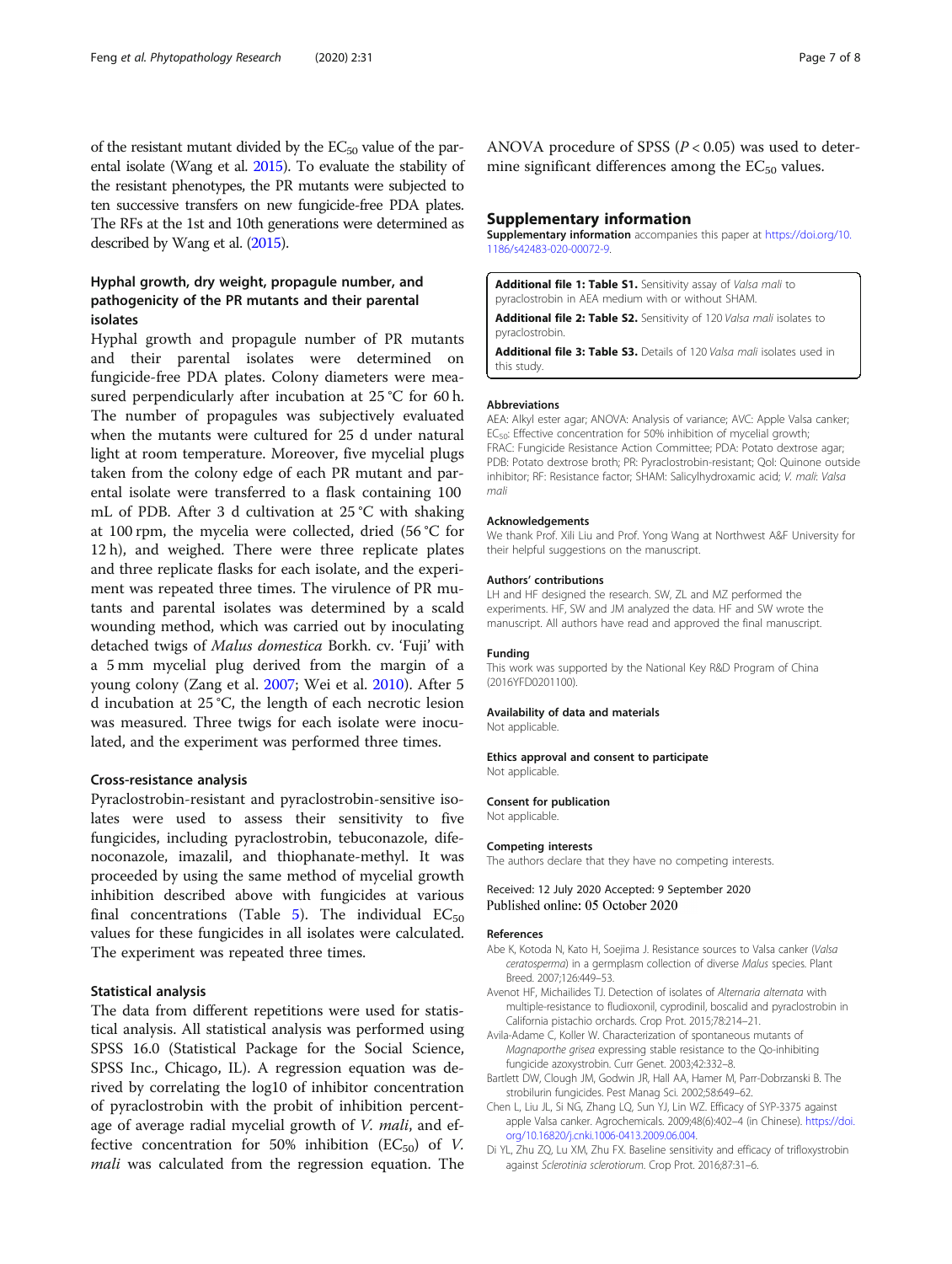<span id="page-6-0"></span>of the resistant mutant divided by the  $EC_{50}$  value of the parental isolate (Wang et al. [2015](#page-7-0)). To evaluate the stability of the resistant phenotypes, the PR mutants were subjected to ten successive transfers on new fungicide-free PDA plates. The RFs at the 1st and 10th generations were determined as described by Wang et al. [\(2015\)](#page-7-0).

## Hyphal growth, dry weight, propagule number, and pathogenicity of the PR mutants and their parental isolates

Hyphal growth and propagule number of PR mutants and their parental isolates were determined on fungicide-free PDA plates. Colony diameters were measured perpendicularly after incubation at 25 °C for 60 h. The number of propagules was subjectively evaluated when the mutants were cultured for 25 d under natural light at room temperature. Moreover, five mycelial plugs taken from the colony edge of each PR mutant and parental isolate were transferred to a flask containing 100 mL of PDB. After 3 d cultivation at 25 °C with shaking at 100 rpm, the mycelia were collected, dried (56 °C for 12 h), and weighed. There were three replicate plates and three replicate flasks for each isolate, and the experiment was repeated three times. The virulence of PR mutants and parental isolates was determined by a scald wounding method, which was carried out by inoculating detached twigs of Malus domestica Borkh. cv. 'Fuji' with a 5 mm mycelial plug derived from the margin of a young colony (Zang et al. [2007;](#page-7-0) Wei et al. [2010\)](#page-7-0). After 5 d incubation at 25 °C, the length of each necrotic lesion was measured. Three twigs for each isolate were inoculated, and the experiment was performed three times.

#### Cross-resistance analysis

Pyraclostrobin-resistant and pyraclostrobin-sensitive isolates were used to assess their sensitivity to five fungicides, including pyraclostrobin, tebuconazole, difenoconazole, imazalil, and thiophanate-methyl. It was proceeded by using the same method of mycelial growth inhibition described above with fungicides at various final concentrations (Table [5\)](#page-5-0). The individual  $EC_{50}$ values for these fungicides in all isolates were calculated. The experiment was repeated three times.

#### Statistical analysis

The data from different repetitions were used for statistical analysis. All statistical analysis was performed using SPSS 16.0 (Statistical Package for the Social Science, SPSS Inc., Chicago, IL). A regression equation was derived by correlating the log10 of inhibitor concentration of pyraclostrobin with the probit of inhibition percentage of average radial mycelial growth of *V. mali*, and effective concentration for 50% inhibition ( $EC_{50}$ ) of V. *mali* was calculated from the regression equation. The

ANOVA procedure of SPSS ( $P < 0.05$ ) was used to determine significant differences among the  $EC_{50}$  values.

#### Supplementary information

Supplementary information accompanies this paper at [https://doi.org/10.](https://doi.org/10.1186/s42483-020-00072-9) [1186/s42483-020-00072-9](https://doi.org/10.1186/s42483-020-00072-9).

Additional file 1: Table S1. Sensitivity assay of Valsa mali to pyraclostrobin in AEA medium with or without SHAM.

Additional file 2: Table S2. Sensitivity of 120 Valsa mali isolates to pyraclostrobin.

Additional file 3: Table S3. Details of 120 Valsa mali isolates used in this study.

#### Abbreviations

AEA: Alkyl ester agar; ANOVA: Analysis of variance; AVC: Apple Valsa canker; EC<sub>50</sub>: Effective concentration for 50% inhibition of mycelial growth; FRAC: Fungicide Resistance Action Committee; PDA: Potato dextrose agar; PDB: Potato dextrose broth; PR: Pyraclostrobin-resistant; Qol: Quinone outside inhibitor; RF: Resistance factor; SHAM: Salicylhydroxamic acid; V. mali: Valsa mali

#### Acknowledgements

We thank Prof. Xili Liu and Prof. Yong Wang at Northwest A&F University for their helpful suggestions on the manuscript.

#### Authors' contributions

LH and HF designed the research. SW, ZL and MZ performed the experiments. HF, SW and JM analyzed the data. HF and SW wrote the manuscript. All authors have read and approved the final manuscript.

#### Funding

This work was supported by the National Key R&D Program of China (2016YFD0201100).

#### Availability of data and materials

Not applicable.

#### Ethics approval and consent to participate

Not applicable.

#### Consent for publication

Not applicable.

#### Competing interests

The authors declare that they have no competing interests.

#### Received: 12 July 2020 Accepted: 9 September 2020 Published online: 05 October 2020

#### References

- Abe K, Kotoda N, Kato H, Soejima J. Resistance sources to Valsa canker (Valsa ceratosperma) in a germplasm collection of diverse Malus species. Plant Breed. 2007;126:449–53.
- Avenot HF, Michailides TJ. Detection of isolates of Alternaria alternata with multiple-resistance to fludioxonil, cyprodinil, boscalid and pyraclostrobin in California pistachio orchards. Crop Prot. 2015;78:214–21.
- Avila-Adame C, Koller W. Characterization of spontaneous mutants of Magnaporthe grisea expressing stable resistance to the Qo-inhibiting fungicide azoxystrobin. Curr Genet. 2003;42:332–8.
- Bartlett DW, Clough JM, Godwin JR, Hall AA, Hamer M, Parr-Dobrzanski B. The strobilurin fungicides. Pest Manag Sci. 2002;58:649–62.
- Chen L, Liu JL, Si NG, Zhang LQ, Sun YJ, Lin WZ. Efficacy of SYP-3375 against apple Valsa canker. Agrochemicals. 2009;48(6):402–4 (in Chinese). [https://doi.](https://doi.org/10.16820/j.cnki.1006-0413.2009.06.004) [org/10.16820/j.cnki.1006-0413.2009.06.004](https://doi.org/10.16820/j.cnki.1006-0413.2009.06.004).
- Di YL, Zhu ZQ, Lu XM, Zhu FX. Baseline sensitivity and efficacy of trifloxystrobin against Sclerotinia sclerotiorum. Crop Prot. 2016;87:31–6.